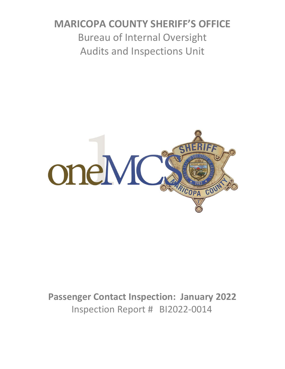# **MARICOPA COUNTY SHERIFF'S OFFICE** Bureau of Internal Oversight Audits and Inspections Unit



**Passenger Contact Inspection: January 2022** Inspection Report # BI2022-0014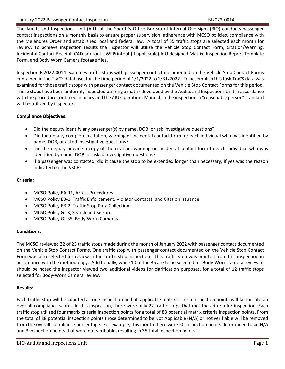The Audits and Inspections Unit (AIU) of the Sheriff's Office Bureau of Internal Oversight (BIO) conducts passenger contact inspections on a monthly basis to ensure proper supervision, adherence with MCSO policies, compliance with the Melendres Order and established local and federal law. A total of 35 traffic stops are selected each month for review. To achieve inspection results the inspector will utilize the Vehicle Stop Contact Form, Citation/Warning, Incidental Contact Receipt, CAD printout, JWI Printout (if applicable) AIU-designed Matrix, Inspection Report Template Form, and Body Worn Camera footage files.

Inspection BI2022-0014 examines traffic stops with passenger contact documented on the Vehicle Stop Contact Forms contained in the TraCS database, for the time period of 1/1/2022 to 1/31/2022. To accomplish this task TraCS data was examined for those traffic stops with passenger contact documented on the Vehicle Stop Contact Forms for this period. These stops have been uniformly inspected utilizing a matrix developed by the Audits and Inspections Unit in accordance with the procedures outlined in policy and the AIU Operations Manual. In the inspection, a "reasonable person" standard will be utilized by inspectors.

### **Compliance Objectives:**

- Did the deputy identify any passenger(s) by name, DOB, or ask investigative questions?
- Did the deputy complete a citation, warning or incidental contact form for each individual who was identified by name, DOB, or asked investigative questions?
- Did the deputy provide a copy of the citation, warning or incidental contact form to each individual who was identified by name, DOB, or asked investigative questions?
- If a passenger was contacted, did it cause the stop to be extended longer than necessary, if yes was the reason indicated on the VSCF?

## **Criteria:**

- MCSO Policy EA-11, Arrest Procedures
- MCSO Policy EB-1, Traffic Enforcement, Violator Contacts, and Citation Issuance
- MCSO Policy EB-2, Traffic Stop Data Collection
- MCSO Policy GJ-3, Search and Seizure
- MCSO Policy GJ-35, Body-Worn Cameras

### **Conditions:**

The MCSO reviewed 22 of 23 traffic stops made during the month of January 2022 with passenger contact documented on the Vehicle Stop Contact Forms. One traffic stop with passenger contact documented on the Vehicle Stop Contact Form was also selected for review in the traffic stop inspection. This traffic stop was omitted from this inspection in accordance with the methodology. Additionally, while 10 of the 35 are to be selected for Body-Worn Camera review, it should be noted the inspector viewed two additional videos for clarification purposes, for a total of 12 traffic stops selected for Body-Worn Camera review.

### **Results:**

Each traffic stop will be counted as one inspection and all applicable matrix criteria inspection points will factor into an over-all compliance score. In this inspection, there were only 22 traffic stops that met the criteria for inspection. Each traffic stop utilized four matrix criteria inspection points for a total of 88 potential matrix criteria inspection points. From the total of 88 potential inspection points those determined to be Not Applicable (N/A) or not verifiable will be removed from the overall compliance percentage. For example, this month there were 50 inspection points determined to be N/A and 3 inspection points that were not verifiable, resulting in 35 total inspection points.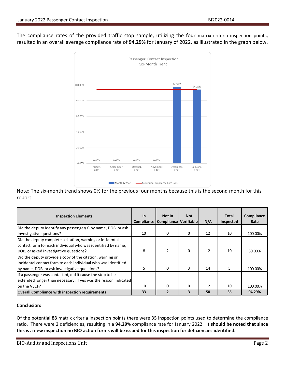The compliance rates of the provided traffic stop sample, utilizing the four matrix criteria inspection points, resulted in an overall average compliance rate of **94.29%** for January of 2022, as illustrated in the graph below.



Note: The six-month trend shows 0% for the previous four months because this is the second month for this report.

| <b>Inspection Elements</b>                                                                                                                                                   | <u>In</u> | Not In<br>Compliance   Compliance   Verifiable | <b>Not</b> | N/A | <b>Total</b><br>Inspected | Compliance<br>Rate |
|------------------------------------------------------------------------------------------------------------------------------------------------------------------------------|-----------|------------------------------------------------|------------|-----|---------------------------|--------------------|
| Did the deputy identify any passenger(s) by name, DOB, or ask<br>investigative questions?                                                                                    | 10        | $\Omega$                                       | 0          | 12  | 10                        | 100.00%            |
| Did the deputy complete a citation, warning or incidental<br>contact form for each individual who was identified by name,<br>DOB, or asked investigative questions?          | 8         | $\overline{2}$                                 | 0          | 12  | 10                        | 80.00%             |
| Did the deputy provide a copy of the citation, warning or<br>lincidental contact form to each individual who was identified<br>by name, DOB, or ask investigative questions? | 5.        | $\Omega$                                       | 3          | 14  | 5                         | 100.00%            |
| If a passenger was contacted, did it cause the stop to be<br>extended longer than necessary, if yes was the reason indicated<br>on the VSCF?                                 | 10        | 0                                              | 0          | 12  | 10                        | 100.00%            |
| <b>Overall Compliance with inspection requirements</b>                                                                                                                       | 33        |                                                | з          | 50  | 35                        | 94.29%             |

#### **Conclusion:**

Of the potential 88 matrix criteria inspection points there were 35 inspection points used to determine the compliance ratio. There were 2 deficiencies, resulting in a **94.29**% compliance rate for January 2022. **It should be noted that since this is a new inspection no BIO action forms will be issued for this inspection for deficiencies identified.**